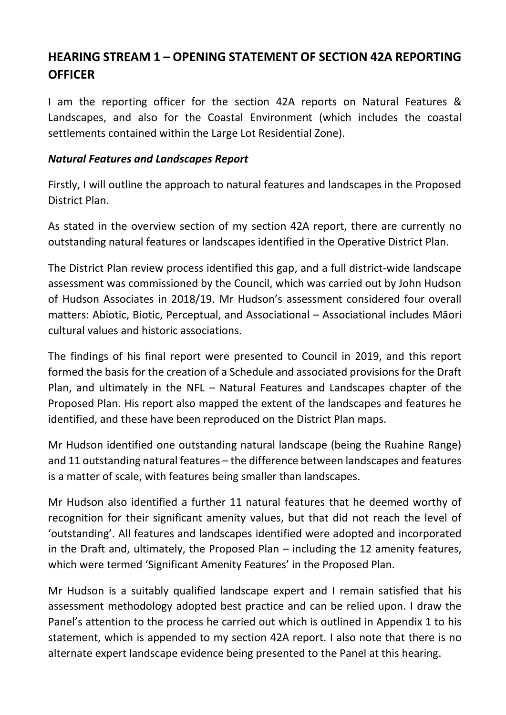## **HEARING STREAM 1 – OPENING STATEMENT OF SECTION 42A REPORTING OFFICER**

I am the reporting officer for the section 42A reports on Natural Features & Landscapes, and also for the Coastal Environment (which includes the coastal settlements contained within the Large Lot Residential Zone).

## *Natural Features and Landscapes Report*

Firstly, I will outline the approach to natural features and landscapes in the Proposed District Plan.

As stated in the overview section of my section 42A report, there are currently no outstanding natural features or landscapes identified in the Operative District Plan.

The District Plan review process identified this gap, and a full district-wide landscape assessment was commissioned by the Council, which was carried out by John Hudson of Hudson Associates in 2018/19. Mr Hudson's assessment considered four overall matters: Abiotic, Biotic, Perceptual, and Associational – Associational includes Māori cultural values and historic associations.

The findings of his final report were presented to Council in 2019, and this report formed the basis for the creation of a Schedule and associated provisions for the Draft Plan, and ultimately in the NFL – Natural Features and Landscapes chapter of the Proposed Plan. His report also mapped the extent of the landscapes and features he identified, and these have been reproduced on the District Plan maps.

Mr Hudson identified one outstanding natural landscape (being the Ruahine Range) and 11 outstanding natural features – the difference between landscapes and features is a matter of scale, with features being smaller than landscapes.

Mr Hudson also identified a further 11 natural features that he deemed worthy of recognition for their significant amenity values, but that did not reach the level of 'outstanding'. All features and landscapes identified were adopted and incorporated in the Draft and, ultimately, the Proposed Plan – including the 12 amenity features, which were termed 'Significant Amenity Features' in the Proposed Plan.

Mr Hudson is a suitably qualified landscape expert and I remain satisfied that his assessment methodology adopted best practice and can be relied upon. I draw the Panel's attention to the process he carried out which is outlined in Appendix 1 to his statement, which is appended to my section 42A report. I also note that there is no alternate expert landscape evidence being presented to the Panel at this hearing.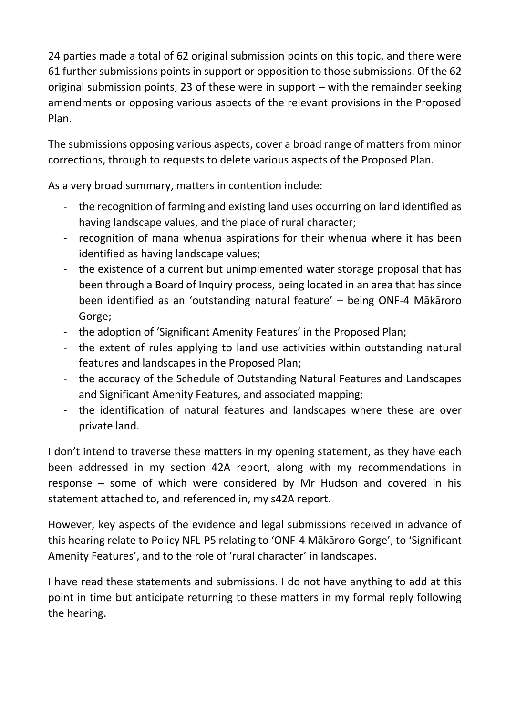24 parties made a total of 62 original submission points on this topic, and there were 61 further submissions points in support or opposition to those submissions. Of the 62 original submission points, 23 of these were in support – with the remainder seeking amendments or opposing various aspects of the relevant provisions in the Proposed Plan.

The submissions opposing various aspects, cover a broad range of matters from minor corrections, through to requests to delete various aspects of the Proposed Plan.

As a very broad summary, matters in contention include:

- the recognition of farming and existing land uses occurring on land identified as having landscape values, and the place of rural character;
- recognition of mana whenua aspirations for their whenua where it has been identified as having landscape values;
- the existence of a current but unimplemented water storage proposal that has been through a Board of Inquiry process, being located in an area that has since been identified as an 'outstanding natural feature' – being ONF-4 Mākāroro Gorge;
- the adoption of 'Significant Amenity Features' in the Proposed Plan;
- the extent of rules applying to land use activities within outstanding natural features and landscapes in the Proposed Plan;
- the accuracy of the Schedule of Outstanding Natural Features and Landscapes and Significant Amenity Features, and associated mapping;
- the identification of natural features and landscapes where these are over private land.

I don't intend to traverse these matters in my opening statement, as they have each been addressed in my section 42A report, along with my recommendations in response – some of which were considered by Mr Hudson and covered in his statement attached to, and referenced in, my s42A report.

However, key aspects of the evidence and legal submissions received in advance of this hearing relate to Policy NFL-P5 relating to 'ONF-4 Mākāroro Gorge', to 'Significant Amenity Features', and to the role of 'rural character' in landscapes.

I have read these statements and submissions. I do not have anything to add at this point in time but anticipate returning to these matters in my formal reply following the hearing.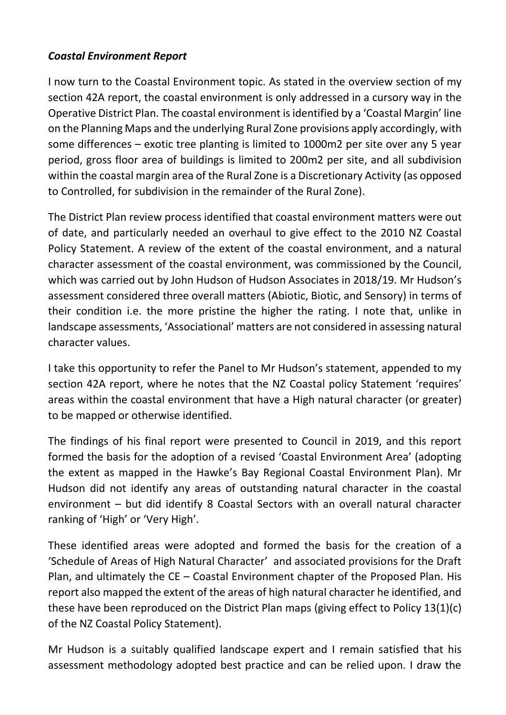## *Coastal Environment Report*

I now turn to the Coastal Environment topic. As stated in the overview section of my section 42A report, the coastal environment is only addressed in a cursory way in the Operative District Plan. The coastal environment is identified by a 'Coastal Margin' line on the Planning Maps and the underlying Rural Zone provisions apply accordingly, with some differences – exotic tree planting is limited to 1000m2 per site over any 5 year period, gross floor area of buildings is limited to 200m2 per site, and all subdivision within the coastal margin area of the Rural Zone is a Discretionary Activity (as opposed to Controlled, for subdivision in the remainder of the Rural Zone).

The District Plan review process identified that coastal environment matters were out of date, and particularly needed an overhaul to give effect to the 2010 NZ Coastal Policy Statement. A review of the extent of the coastal environment, and a natural character assessment of the coastal environment, was commissioned by the Council, which was carried out by John Hudson of Hudson Associates in 2018/19. Mr Hudson's assessment considered three overall matters (Abiotic, Biotic, and Sensory) in terms of their condition i.e. the more pristine the higher the rating. I note that, unlike in landscape assessments, 'Associational' matters are not considered in assessing natural character values.

I take this opportunity to refer the Panel to Mr Hudson's statement, appended to my section 42A report, where he notes that the NZ Coastal policy Statement 'requires' areas within the coastal environment that have a High natural character (or greater) to be mapped or otherwise identified.

The findings of his final report were presented to Council in 2019, and this report formed the basis for the adoption of a revised 'Coastal Environment Area' (adopting the extent as mapped in the Hawke's Bay Regional Coastal Environment Plan). Mr Hudson did not identify any areas of outstanding natural character in the coastal environment – but did identify 8 Coastal Sectors with an overall natural character ranking of 'High' or 'Very High'.

These identified areas were adopted and formed the basis for the creation of a 'Schedule of Areas of High Natural Character' and associated provisions for the Draft Plan, and ultimately the CE – Coastal Environment chapter of the Proposed Plan. His report also mapped the extent of the areas of high natural character he identified, and these have been reproduced on the District Plan maps (giving effect to Policy 13(1)(c) of the NZ Coastal Policy Statement).

Mr Hudson is a suitably qualified landscape expert and I remain satisfied that his assessment methodology adopted best practice and can be relied upon. I draw the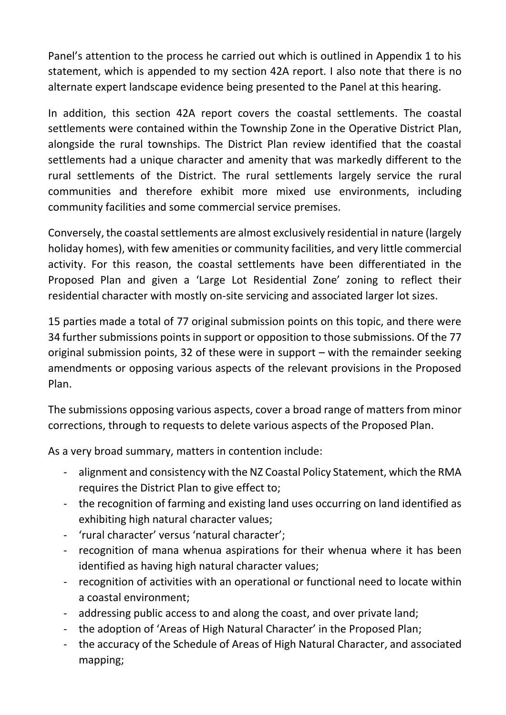Panel's attention to the process he carried out which is outlined in Appendix 1 to his statement, which is appended to my section 42A report. I also note that there is no alternate expert landscape evidence being presented to the Panel at this hearing.

In addition, this section 42A report covers the coastal settlements. The coastal settlements were contained within the Township Zone in the Operative District Plan, alongside the rural townships. The District Plan review identified that the coastal settlements had a unique character and amenity that was markedly different to the rural settlements of the District. The rural settlements largely service the rural communities and therefore exhibit more mixed use environments, including community facilities and some commercial service premises.

Conversely, the coastal settlements are almost exclusively residential in nature (largely holiday homes), with few amenities or community facilities, and very little commercial activity. For this reason, the coastal settlements have been differentiated in the Proposed Plan and given a 'Large Lot Residential Zone' zoning to reflect their residential character with mostly on-site servicing and associated larger lot sizes.

15 parties made a total of 77 original submission points on this topic, and there were 34 further submissions points in support or opposition to those submissions. Of the 77 original submission points, 32 of these were in support – with the remainder seeking amendments or opposing various aspects of the relevant provisions in the Proposed Plan.

The submissions opposing various aspects, cover a broad range of matters from minor corrections, through to requests to delete various aspects of the Proposed Plan.

As a very broad summary, matters in contention include:

- alignment and consistency with the NZ Coastal Policy Statement, which the RMA requires the District Plan to give effect to;
- the recognition of farming and existing land uses occurring on land identified as exhibiting high natural character values;
- 'rural character' versus 'natural character';
- recognition of mana whenua aspirations for their whenua where it has been identified as having high natural character values;
- recognition of activities with an operational or functional need to locate within a coastal environment;
- addressing public access to and along the coast, and over private land;
- the adoption of 'Areas of High Natural Character' in the Proposed Plan;
- the accuracy of the Schedule of Areas of High Natural Character, and associated mapping;